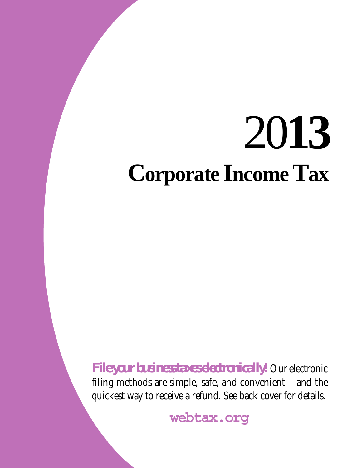# 20**13 Corporate Income Tax**

*File your business taxes electronically!* Our electronic filing methods are simple, safe, and convenient – and the quickest way to receive a refund. See back cover for details.

**webtax.org**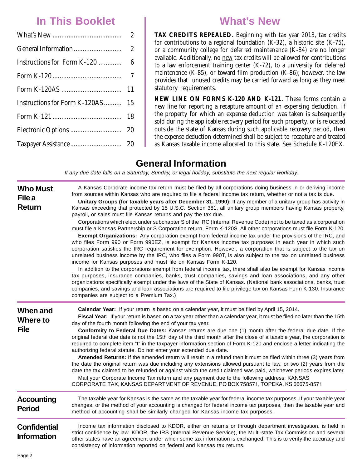## **In This Booklet**

|                                  | $\boldsymbol{2}$ |
|----------------------------------|------------------|
|                                  |                  |
|                                  |                  |
|                                  |                  |
| Instructions for Form K-120AS 15 |                  |
|                                  |                  |
|                                  |                  |
|                                  |                  |

## **What's New**

**TAX CREDITS REPEALED.** Beginning with tax year 2013, tax credits for contributions to a regional foundation (K-32), a historic site (K-75), or a community college for deferred maintenance (K-84) are no longer available. Additionally, no new tax credits will be allowed for contributions to a law enforcement training center (K-72), to a university for deferred maintenance (K-85), or toward film production (K-86); however, the law provides that unused credits may be carried forward as long as they meet statutory requirements.

NEW LINE ON FORMS K-120 AND K-121. These forms contain a new line for reporting a recapture amount of an expensing deduction. If the property for which an expense deduction was taken is subsequently sold during the applicable recovery period for such property, or is relocated outside the state of Kansas during such applicable recovery period, then the expense deduction determined shall be subject to recapture and treated as Kansas taxable income allocated to this state. See Schedule K-120EX.

## **General Information**

If any due date falls on a Saturday, Sunday, or legal holiday, substitute the next regular workday.

| <b>Who Must</b><br>File a<br><b>Return</b> | A Kansas Corporate income tax return must be filed by all corporations doing business in or deriving income<br>from sources within Kansas who are required to file a federal income tax return, whether or not a tax is due.<br>Unitary Groups (for taxable years after December 31, 1990): If any member of a unitary group has activity in<br>Kansas exceeding that protected by 15 U.S.C. Section 381, all unitary group members having Kansas property,<br>payroll, or sales must file Kansas returns and pay the tax due.<br>Corporations which elect under subchapter S of the IRC (Internal Revenue Code) not to be taxed as a corporation<br>must file a Kansas Partnership or S Corporation return, Form K-120S. All other corporations must file Form K-120.<br>Exempt Organizations: Any corporation exempt from federal income tax under the provisions of the IRC, and<br>who files Form 990 or Form 990EZ, is exempt for Kansas income tax purposes in each year in which such<br>corporation satisfies the IRC requirement for exemption. However, a corporation that is subject to the tax on<br>unrelated business income by the IRC, who files a Form 990T, is also subject to the tax on unrelated business<br>income for Kansas purposes and must file on Kansas Form K-120.<br>In addition to the corporations exempt from federal income tax, there shall also be exempt for Kansas income<br>tax purposes, insurance companies, banks, trust companies, savings and loan associations, and any other<br>organizations specifically exempt under the laws of the State of Kansas. (National bank associations, banks, trust<br>companies, and savings and loan associations are required to file privilege tax on Kansas Form K-130. Insurance<br>companies are subject to a Premium Tax.) |
|--------------------------------------------|------------------------------------------------------------------------------------------------------------------------------------------------------------------------------------------------------------------------------------------------------------------------------------------------------------------------------------------------------------------------------------------------------------------------------------------------------------------------------------------------------------------------------------------------------------------------------------------------------------------------------------------------------------------------------------------------------------------------------------------------------------------------------------------------------------------------------------------------------------------------------------------------------------------------------------------------------------------------------------------------------------------------------------------------------------------------------------------------------------------------------------------------------------------------------------------------------------------------------------------------------------------------------------------------------------------------------------------------------------------------------------------------------------------------------------------------------------------------------------------------------------------------------------------------------------------------------------------------------------------------------------------------------------------------------------------------------------------------------------------------------------------------------------------------------------------|
| When and<br><b>Where to</b><br><b>File</b> | Calendar Year: If your return is based on a calendar year, it must be filed by April 15, 2014.<br>Fiscal Year: If your return is based on a tax year other than a calendar year, it must be filed no later than the 15th<br>day of the fourth month following the end of your tax year.<br>Conformity to Federal Due Dates: Kansas returns are due one (1) month after the federal due date. If the<br>original federal due date is not the 15th day of the third month after the close of a taxable year, the corporation is<br>required to complete item "I" in the taxpayer information section of Form K-120 and enclose a letter indicating the<br>authorizing federal statute. Do not enter your extended due date.<br>Amended Returns: If the amended return will result in a refund then it must be filed within three (3) years from<br>the date the original return was due including any extensions allowed pursuant to law, or two (2) years from the<br>date the tax claimed to be refunded or against which the credit claimed was paid, whichever periods expires later.<br>Mail your Corporate Income Tax return and any payment due to the following address: KANSAS<br>CORPORATE TAX, KANSAS DEPARTMENT OF REVENUE, PO BOX 758571, TOPEKA, KS 66675-8571                                                                                                                                                                                                                                                                                                                                                                                                                                                                                                                                       |
| <b>Accounting</b><br><b>Period</b>         | The taxable year for Kansas is the same as the taxable year for federal income tax purposes. If your taxable year<br>changes, or the method of your accounting is changed for federal income tax purposes, then the taxable year and<br>method of accounting shall be similarly changed for Kansas income tax purposes.                                                                                                                                                                                                                                                                                                                                                                                                                                                                                                                                                                                                                                                                                                                                                                                                                                                                                                                                                                                                                                                                                                                                                                                                                                                                                                                                                                                                                                                                                          |
| <b>Confidential</b><br><b>Information</b>  | Income tax information disclosed to KDOR, either on returns or through department investigation, is held in<br>strict confidence by law. KDOR, the IRS (Internal Revenue Service), the Multi-state Tax Commission and several<br>other states have an agreement under which some tax information is exchanged. This is to verify the accuracy and<br>consistency of information reported on federal and Kansas tax returns.                                                                                                                                                                                                                                                                                                                                                                                                                                                                                                                                                                                                                                                                                                                                                                                                                                                                                                                                                                                                                                                                                                                                                                                                                                                                                                                                                                                      |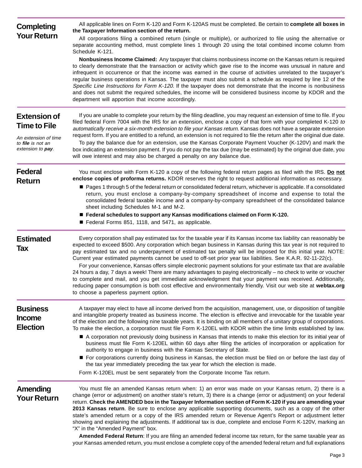| <b>Completing</b>                                                     | All applicable lines on Form K-120 and Form K-120AS must be completed. Be certain to complete all boxes in<br>the Taxpayer Information section of the return.                                                                                                                                                                                                                                                                                                                                                                                                                                                                                                                                                                                       |
|-----------------------------------------------------------------------|-----------------------------------------------------------------------------------------------------------------------------------------------------------------------------------------------------------------------------------------------------------------------------------------------------------------------------------------------------------------------------------------------------------------------------------------------------------------------------------------------------------------------------------------------------------------------------------------------------------------------------------------------------------------------------------------------------------------------------------------------------|
| <b>Your Return</b>                                                    | All corporations filing a combined return (single or multiple), or authorized to file using the alternative or<br>separate accounting method, must complete lines 1 through 20 using the total combined income column from<br>Schedule K-121.                                                                                                                                                                                                                                                                                                                                                                                                                                                                                                       |
|                                                                       | Nonbusiness Income Claimed: Any taxpayer that claims nonbusiness income on the Kansas return is required<br>to clearly demonstrate that the transaction or activity which gave rise to the income was unusual in nature and<br>infrequent in occurrence or that the income was earned in the course of activities unrelated to the taxpayer's<br>regular business operations in Kansas. The taxpayer must also submit a schedule as required by line 12 of the<br>Specific Line Instructions for Form K-120. If the taxpayer does not demonstrate that the income is nonbusiness<br>and does not submit the required schedules, the income will be considered business income by KDOR and the<br>department will apportion that income accordingly. |
| <b>Extension of</b>                                                   | If you are unable to complete your return by the filing deadline, you may request an extension of time to file. If you<br>filed federal Form 7004 with the IRS for an extension, enclose a copy of that form with your completed K-120 to                                                                                                                                                                                                                                                                                                                                                                                                                                                                                                           |
| <b>Time to File</b>                                                   | automatically receive a six-month extension to file your Kansas return. Kansas does not have a separate extension<br>request form. If you are entitled to a refund, an extension is not required to file the return after the original due date.                                                                                                                                                                                                                                                                                                                                                                                                                                                                                                    |
| An extension of time<br>to <b>file</b> is not an<br>extension to pay. | To pay the balance due for an extension, use the Kansas Corporate Payment Voucher (K-120V) and mark the<br>box indicating an extension payment. If you do not pay the tax due (may be estimated) by the original due date, you<br>will owe interest and may also be charged a penalty on any balance due.                                                                                                                                                                                                                                                                                                                                                                                                                                           |
| <b>Federal</b><br><b>Return</b>                                       | You must enclose with Form K-120 a copy of the following federal return pages as filed with the IRS. Do not<br>enclose copies of proforma returns. KDOR reserves the right to request additional information as necessary.                                                                                                                                                                                                                                                                                                                                                                                                                                                                                                                          |
|                                                                       | Pages 1 through 5 of the federal return or consolidated federal return, whichever is applicable. If a consolidated<br>return, you must enclose a company-by-company spreadsheet of income and expense to total the<br>consolidated federal taxable income and a company-by-company spreadsheet of the consolidated balance<br>sheet including Schedules M-1 and M-2.                                                                                                                                                                                                                                                                                                                                                                                |
|                                                                       | ■ Federal schedules to support any Kansas modifications claimed on Form K-120.<br>Federal Forms 851, 1118, and 5471, as applicable.                                                                                                                                                                                                                                                                                                                                                                                                                                                                                                                                                                                                                 |
| <b>Estimated</b><br>Tax                                               | Every corporation shall pay estimated tax for the taxable year if its Kansas income tax liability can reasonably be<br>expected to exceed \$500. Any corporation which began business in Kansas during this tax year is not required to<br>pay estimated tax and no underpayment of estimated tax penalty will be imposed for this initial year. NOTE:<br>Current year estimated payments cannot be used to off-set prior year tax liabilities. See K.A.R. 92-11-22(c).                                                                                                                                                                                                                                                                             |
|                                                                       | For your convenience, Kansas offers simple electronic payment solutions for your estimate tax that are available<br>24 hours a day, 7 days a week! There are many advantages to paying electronically - no check to write or voucher<br>to complete and mail, and you get immediate acknowledgment that your payment was received. Additionally,<br>reducing paper consumption is both cost effective and environmentally friendly. Visit our web site at webtax.org<br>to choose a paperless payment option.                                                                                                                                                                                                                                       |
| <b>Business</b><br><b>Income</b><br><b>Election</b>                   | A taxpayer may elect to have all income derived from the acquisition, management, use, or disposition of tangible<br>and intangible property treated as business income. The election is effective and irrevocable for the taxable year<br>of the election and the following nine taxable years. It is binding on all members of a unitary group of corporations.<br>To make the election, a corporation must file Form K-120EL with KDOR within the time limits established by law.                                                                                                                                                                                                                                                                |
|                                                                       | A corporation not previously doing business in Kansas that intends to make this election for its initial year of<br>business must file Form K-120EL within 60 days after filing the articles of incorporation or application for<br>authority to engage in business with the Kansas Secretary of State.                                                                                                                                                                                                                                                                                                                                                                                                                                             |
|                                                                       | ■ For corporations currently doing business in Kansas, the election must be filed on or before the last day of<br>the tax year immediately preceding the tax year for which the election is made.                                                                                                                                                                                                                                                                                                                                                                                                                                                                                                                                                   |
|                                                                       | Form K-120EL must be sent separately from the Corporate Income Tax return.                                                                                                                                                                                                                                                                                                                                                                                                                                                                                                                                                                                                                                                                          |
| Amending<br><b>Your Return</b>                                        | You must file an amended Kansas return when: 1) an error was made on your Kansas return, 2) there is a<br>change (error or adjustment) on another state's return, 3) there is a change (error or adjustment) on your federal<br>return. Check the AMENDED box in the Taxpayer Information section of Form K-120 if you are amending your<br>2013 Kansas return. Be sure to enclose any applicable supporting documents, such as a copy of the other<br>state's amended return or a copy of the IRS amended return or Revenue Agent's Report or adjustment letter                                                                                                                                                                                    |
|                                                                       | showing and explaining the adjustments. If additional tax is due, complete and enclose Form K-120V, marking an<br>"X" in the "Amended Payment" box.                                                                                                                                                                                                                                                                                                                                                                                                                                                                                                                                                                                                 |
|                                                                       | Amended Federal Return: If you are filing an amended federal income tax return, for the same taxable year as<br>your Kansas amended return, you must enclose a complete copy of the amended federal return and full explanations                                                                                                                                                                                                                                                                                                                                                                                                                                                                                                                    |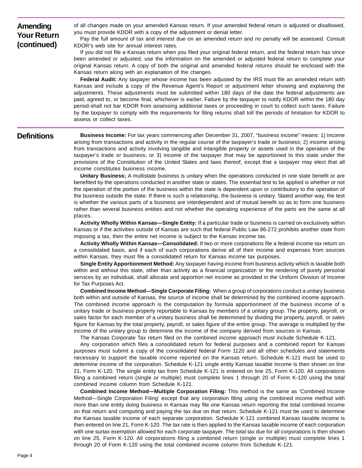## **Amending Your Return (continued)**

of all changes made on your amended Kansas return. If your amended federal return is adjusted or disallowed, you must provide KDOR with a copy of the adjustment or denial letter.

Pay the full amount of tax and interest due on an amended return and no penalty will be assessed. Consult KDOR's web site for annual interest rates.

If you did not file a Kansas return when you filed your original federal return, and the federal return has since been amended or adjusted, use the information on the amended or adjusted federal return to complete your original Kansas return. A copy of both the original and amended federal returns should be enclosed with the Kansas return along with an explanation of the changes.

**Federal Audit:** Any taxpayer whose income has been adjusted by the IRS must file an amended return with Kansas and include a copy of the Revenue Agent's Report or adjustment letter showing and explaining the adjustments. These adjustments must be submitted within 180 days of the date the federal adjustments are paid, agreed to, or become final, whichever is earlier. Failure by the taxpayer to notify KDOR within the 180 day period shall not bar KDOR from assessing additional taxes or proceeding in court to collect such taxes. Failure by the taxpayer to comply with the requirements for filing returns shall toll the periods of limitation for KDOR to assess or collect taxes.

**Definitions** Business Income: For tax years commencing after December 31, 2007, "business income" means: 1) Income arising from transactions and activity in the regular course of the taxpayer's trade or business; 2) income arising from transactions and activity involving tangible and intangible property or assets used in the operation of the taxpayer's trade or business; or 3) income of the taxpayer that may be apportioned to this state under the provisions of the Constitution of the United States and laws thereof, except that a taxpayer may elect that all income constitutes business income.

> **Unitary Business;** A multistate business is unitary when the operations conducted in one state benefit or are benefited by the operations conducted in another state or states. The essential test to be applied is whether or not the operation of the portion of the business within the state is dependent upon or contributory to the operation of the business outside the state. If there is such a relationship, the business is unitary. Stated another way, the test is whether the various parts of a business are interdependent and of mutual benefit so as to form one business rather than several business entities and not whether the operating experience of the parts are the same at all places.

> **Activity Wholly Within Kansas—Single Entity:** If a particular trade or business is carried on exclusively within Kansas or if the activities outside of Kansas are such that federal Public Law 86-272 prohibits another state from imposing a tax, then the entire net income is subject to the Kansas income tax.

> **Activity Wholly Within Kansas—Consolidated:** If two or more corporations file a federal income tax return on a consolidated basis, and if each of such corporations derive all of their income and expenses from sources within Kansas, they must file a consolidated return for Kansas income tax purposes.

> **Single Entity Apportionment Method:** Any taxpayer having income from business activity which is taxable both within and without this state, other than activity as a financial organization or the rendering of purely personal services by an individual, shall allocate and apportion net income as provided in the Uniform Division of Income for Tax Purposes Act.

> **Combined Income Method—Single Corporate Filing:** When a group of corporations conduct a unitary business both within and outside of Kansas, the source of income shall be determined by the combined income approach. The combined income approach is the computation by formula apportionment of the business income of a unitary trade or business properly reportable to Kansas by members of a unitary group. The property, payroll, or sales factor for each member of a unitary business shall be determined by dividing the property, payroll, or sales figure for Kansas by the total property, payroll, or sales figure of the entire group. The average is multiplied by the income of the unitary group to determine the income of the company derived from sources in Kansas.

> The Kansas Corporate Tax return filed on the combined income approach must include Schedule K-121. Any corporation which files a consolidated return for federal purposes and a combined report for Kansas purposes must submit a copy of the consolidated federal Form 1120 and all other schedules and statements necessary to support the taxable income reported on the Kansas return. Schedule K-121 must be used to determine income of the corporation. Schedule K-121 single entity Kansas taxable income is then shown on line 21, Form K-120. The single entity tax from Schedule K-121 is entered on line 25, Form K-120. All corporations filing a combined return (single or multiple) must complete lines 1 through 20 of Form K-120 using the total combined income column from Schedule K-121.

> **Combined Income Method—Multiple Corporation Filing:** This method is the same as 'Combined Income Method—Single Corporation Filing' except that any corporation filing using the combined income method with more than one entity doing business in Kansas may file one Kansas return reporting the total combined income on that return and computing and paying the tax due on that return. Schedule K-121 must be used to determine the Kansas taxable income of each separate corporation. Schedule K-121 combined Kansas taxable income is then entered on line 21, Form K-120. The tax rate is then applied to the Kansas taxable income of each corporation with one surtax exemption allowed for each corporate taxpayer. The total tax due for all corporations is then shown on line 25, Form K-120. All corporations filing a combined return (single or multiple) must complete lines 1 through 20 of Form K-120 using the total combined income column from Schedule K-121.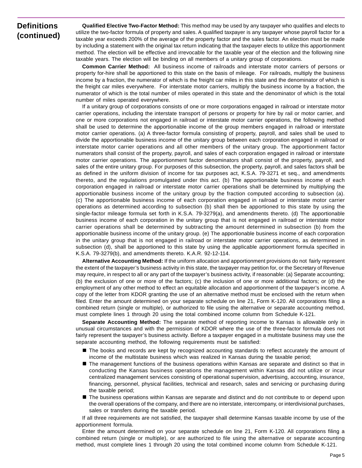## **Definitions (continued)**

**Qualified Elective Two-Factor Method:** This method may be used by any taxpayer who qualifies and elects to utilize the two-factor formula of property and sales. A qualified taxpayer is any taxpayer whose payroll factor for a taxable year exceeds 200% of the average of the property factor and the sales factor. An election must be made by including a statement with the original tax return indicating that the taxpayer elects to utilize this apportionment method. The election will be effective and irrevocable for the taxable year of the election and the following nine taxable years. The election will be binding on all members of a unitary group of corporations.

 **Common Carrier Method:** All business income of railroads and interstate motor carriers of persons or property for-hire shall be apportioned to this state on the basis of mileage. For railroads, multiply the business income by a fraction, the numerator of which is the freight car miles in this state and the denominator of which is the freight car miles everywhere. For interstate motor carriers, multiply the business income by a fraction, the numerator of which is the total number of miles operated in this state and the denominator of which is the total number of miles operated everywhere.

If a unitary group of corporations consists of one or more corporations engaged in railroad or interstate motor carrier operations, including the interstate transport of persons or property for hire by rail or motor carrier, and one or more corporations not engaged in railroad or interstate motor carrier operations, the following method shall be used to determine the apportionable income of the group members engaged in railroad or interstate motor carrier operations. (a) A three-factor formula consisting of property, payroll, and sales shall be used to divide the apportionable business income of the unitary group between each corporation engaged in railroad or interstate motor carrier operations and all other members of the unitary group. The apportionment factor numerators shall consist of the property, payroll, and sales of each corporation engaged in railroad or interstate motor carrier operations. The apportionment factor denominators shall consist of the property, payroll, and sales of the entire unitary group. For purposes of this subsection, the property, payroll, and sales factors shall be as defined in the uniform division of income for tax purposes act, K.S.A. 79-3271 et seq., and amendments thereto, and the regulations promulgated under this act. (b) The apportionable business income of each corporation engaged in railroad or interstate motor carrier operations shall be determined by multiplying the apportionable business income of the unitary group by the fraction computed according to subsection (a). (c) The apportionable business income of each corporation engaged in railroad or interstate motor carrier operations as determined according to subsection (b) shall then be apportioned to this state by using the single-factor mileage formula set forth in K.S.A. 79-3279(a), and amendments thereto. (d) The apportionable business income of each corporation in the unitary group that is not engaged in railroad or interstate motor carrier operations shall be determined by subtracting the amount determined in subsection (b) from the apportionable business income of the unitary group. (e) The apportionable business income of each corporation in the unitary group that is not engaged in railroad or interstate motor carrier operations, as determined in subsection (d), shall be apportioned to this state by using the applicable apportionment formula specified in K.S.A. 79-3279(b), and amendments thereto. K.A.R. 92-12-114.

**Alternative Accounting Method:** If the uniform allocation and apportionment provisions do not fairly represent the extent of the taxpayer's business activity in this state, the taxpayer may petition for, or the Secretary of Revenue may require, in respect to all or any part of the taxpayer's business activity, if reasonable: (a) Separate accounting; (b) the exclusion of one or more of the factors; (c) the inclusion of one or more additional factors; or (d) the employment of any other method to effect an equitable allocation and apportionment of the taxpayer's income. A copy of the letter from KDOR granting the use of an alternative method must be enclosed with the return when filed. Enter the amount determined on your separate schedule on line 21, Form K-120. All corporations filing a combined return (single or multiple), or authorized to file using the alternative or separate accounting method, must complete lines 1 through 20 using the total combined income column from Schedule K-121.

**Separate Accounting Method:** The separate method of reporting income to Kansas is allowable only in unusual circumstances and with the permission of KDOR where the use of the three-factor formula does not fairly represent the taxpayer's business activity. Before a taxpayer engaged in a multistate business may use the separate accounting method, the following requirements must be satisfied:

- **The books and records are kept by recognized accounting standards to reflect accurately the amount of** income of the multistate business which was realized in Kansas during the taxable period;
- **The management functions of the business operations within Kansas are separate and distinct so that in** conducting the Kansas business operations the management within Kansas did not utilize or incur centralized management services consisting of operational supervision, advertising, accounting, insurance, financing, personnel, physical facilities, technical and research, sales and servicing or purchasing during the taxable period;
- The business operations within Kansas are separate and distinct and do not contribute to or depend upon the overall operations of the company, and there are no interstate, intercompany, or interdivisional purchases, sales or transfers during the taxable period.

If all three requirements are not satisfied, the taxpayer shall determine Kansas taxable income by use of the apportionment formula.

Enter the amount determined on your separate schedule on line 21, Form K-120. All corporations filing a combined return (single or multiple), or are authorized to file using the alternative or separate accounting method, must complete lines 1 through 20 using the total combined income column from Schedule K-121.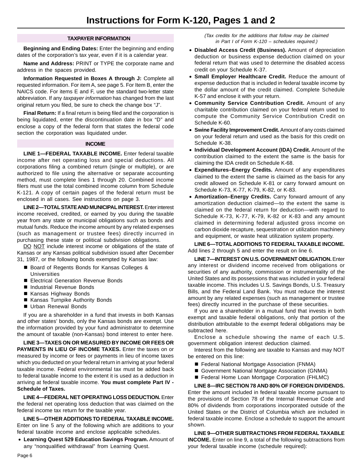#### **TAXPAYER INFORMATION**

**Beginning and Ending Dates:** Enter the beginning and ending dates of the corporation's tax year, even if it is a calendar year.

**Name and Address:** PRINT or TYPE the corporate name and address in the spaces provided.

**Information Requested in Boxes A through J:** Complete all requested information. For item A, see page 5. For Item B, enter the NAICS code. For items E and F, use the standard two-letter state abbreviation. If any taxpayer information has changed from the last original return you filed, be sure to check the change box "J".

**Final Return:** If a final return is being filed and the corporation is being liquidated, enter the discontinuation date in box "D" and enclose a copy of the federal form that states the federal code section the corporation was liquidated under.

### **INCOME**

LINE 1-FEDERAL TAXABLE INCOME. Enter federal taxable income after net operating loss and special deductions. All corporations filing a combined return (single or multiple), or are authorized to file using the alternative or separate accounting method, must complete lines 1 through 20. Combined income filers must use the total combined income column from Schedule K-121. A copy of certain pages of the federal return must be enclosed in all cases. See instructions on page 3.

**LINE 2—TOTAL STATE AND MUNICIPAL INTEREST.** Enter interest income received, credited, or earned by you during the taxable year from any state or municipal obligations such as bonds and mutual funds. Reduce the income amount by any related expenses (such as management or trustee fees) directly incurred in purchasing these state or political subdivision obligations.

DO NOT include interest income or obligations of the state of Kansas or any Kansas political subdivision issued after December 31, 1987, or the following bonds exempted by Kansas law:

- Board of Regents Bonds for Kansas Colleges & Universities
- **Electrical Generation Revenue Bonds**
- Industrial Revenue Bonds
- Kansas Highway Bonds
- Kansas Turnpike Authority Bonds
- Urban Renewal Bonds

If you are a shareholder in a fund that invests in both Kansas and other states' bonds, only the Kansas bonds are exempt. Use the information provided by your fund administrator to determine the amount of taxable (non-Kansas) bond interest to enter here.

**LINE 3—TAXES ON OR MEASURED BY INCOME OR FEES OR PAYMENTS IN LIEU OF INCOME TAXES.** Enter the taxes on or measured by income or fees or payments in lieu of income taxes which you deducted on your federal return in arriving at your federal taxable income. Federal environmental tax must be added back to federal taxable income to the extent it is used as a deduction in arriving at federal taxable income. **You must complete Part IV Schedule of Taxes.** 

**LINE 4—FEDERAL NET OPERATING LOSS DEDUCTION.** Enter the federal net operating loss deduction that was claimed on the federal income tax return for the taxable year.

**LINE 5—OTHER ADDITIONS TO FEDERAL TAXABLE INCOME.**  Enter on line 5 any of the following which are additions to your federal taxable income and enclose applicable schedules.

• **Learning Quest 529 Education Savings Program.** Amount of any "nonqualified withdrawal" from Learning Quest.

(Tax credits for the additions that follow may be claimed in Part I of Form K-120 – schedules required.)

- **Disabled Access Credit (Business).** Amount of depreciation deduction or business expense deduction claimed on your federal return that was used to determine the disabled access credit on your Schedule K-37.
- **Small Employer Healthcare Credit.** Reduce the amount of expense deduction that is included in federal taxable income by the dollar amount of the credit claimed. Complete Schedule K-57 and enclose it with your return.
- **Community Service Contribution Credit.** Amount of any charitable contribution claimed on your federal return used to compute the Community Service Contribution Credit on Schedule K-60.
- **Swine Facility Improvement Credit.** Amount of any costs claimed on your federal return and used as the basis for this credit on Schedule K-38.
- **Individual Development Account (IDA) Credit.** Amount of the contribution claimed to the extent the same is the basis for claiming the IDA credit on Schedule K-68.
- **Expenditures–Energy Credits.** Amount of any expenditures claimed to the extent the same is claimed as the basis for any credit allowed on Schedule K-81 or carry forward amount on Schedule K-73, K-77, K-79, K-82, or K-83.
- **Amortization–Energy Credits.** Carry forward amount of any amortization deduction claimed—to the extent the same is claimed on the federal return for deduction—with regard to Schedule K-73, K-77, K-79, K-82 or K-83 and any amount claimed in determining federal adjusted gross income on carbon dioxide recapture, sequestration or utilization machinery and equipment, or waste heat utilization system property.

**LINE 6—TOTAL ADDITIONS TO FEDERAL TAXABLE INCOME.**  Add lines 2 through 5 and enter the result on line 6.

**LINE 7—INTEREST ON U.S. GOVERNMENT OBLIGATION.** Enter any interest or dividend income received from obligations or securities of any authority, commission or instrumentality of the United States and its possessions that was included in your federal taxable income. This includes U.S. Savings Bonds, U.S. Treasury Bills, and the Federal Land Bank. You must reduce the interest amount by any related expenses (such as management or trustee fees) directly incurred in the purchase of these securities.

If you are a shareholder in a mutual fund that invests in both exempt and taxable federal obligations, only that portion of the distribution attributable to the exempt federal obligations may be subtracted here.

Enclose a schedule showing the name of each U.S. government obligation interest deduction claimed.

Interest from the following are taxable to Kansas and may NOT be entered on this line:

- Federal National Mortgage Association (FNMA)
- Government National Mortgage Association (GNMA)
- Federal Home Loan Mortgage Corporation (FHLMC)

#### **LINE 8—IRC SECTION 78 AND 80% OF FOREIGN DIVIDENDS.**

Enter the amount included in federal taxable income pursuant to the provisions of Section 78 of the Internal Revenue Code and 80% of dividends from corporations incorporated outside of the United States or the District of Columbia which are included in federal taxable income. Enclose a schedule to support the amount shown.

**LINE 9—OTHER SUBTRACTIONS FROM FEDERAL TAXABLE INCOME.** Enter on line 9, a total of the following subtractions from your federal taxable income (schedule required):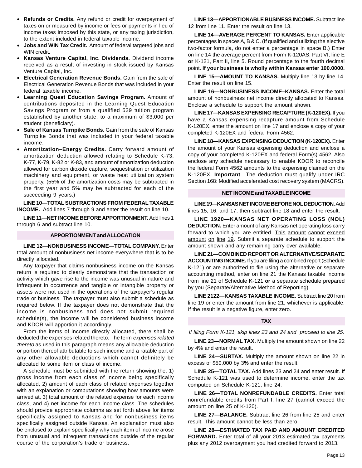- **Refunds or Credits.** Any refund or credit for overpayment of taxes on or measured by income or fees or payments in lieu of income taxes imposed by this state, or any taxing jurisdiction, to the extent included in federal taxable income.
- **Jobs and WIN Tax Credit.** Amount of federal targeted jobs and • WIN credit.
- **Kansas Venture Capital, Inc. Dividends.** Dividend income received as a result of investing in stock issued by Kansas Venture Capital, Inc.
- **Electrical Generation Revenue Bonds.** Gain from the sale of Electrical Generation Revenue Bonds that was included in your federal taxable income.
- **Learning Quest Education Savings Program.** Amount of contributions deposited in the Learning Quest Education Savings Program or from a qualified 529 tuition program established by another state, to a maximum of \$3,000 per student (beneficiary).
- **Sale of Kansas Turnpike Bonds.** Gain from the sale of Kansas Turnpike Bonds that was included in your federal taxable income.
- **Amortization–Energy Credits.** Carry forward amount of amortization deduction allowed relating to Schedule K-73, K-77, K-79, K-82 or K-83, and amount of amortization deduction allowed for carbon dioxide capture, sequestration or utilization machinery and equipment, or waste heat utilization system property. (55% of the amortization costs may be subtracted in the first year and 5% may be subtracted for each of the succeeding 9 years.)

**LINE 10—TOTAL SUBTRACTIONS FROM FEDERAL TAXABLE INCOME.** Add lines 7 through 9 and enter the result on line 10.

**LINE 11—NET INCOME BEFORE APPORTIONMENT.** Add lines 1 through 6 and subtract line 10.

#### **APPORTIONMENT and ALLOCATION**

**LINE 12—NONBUSINESS INCOME—TOTAL COMPANY.** Enter total amount of nonbusiness net income everywhere that is to be directly allocated.

Any taxpayer that claims nonbusiness income on the Kansas return is required to clearly demonstrate that the transaction or activity which gave rise to the income was unusual in nature and infrequent in occurrence and tangible or intangible property or assets were not used in the operations of the taxpayer's regular trade or business. The taxpayer must also submit a schedule as required below. If the taxpayer does not demonstrate that the income is nonbusiness and does not submit required schedule(s), the income will be considered business income and KDOR will apportion it accordingly.

From the items of income directly allocated, there shall be deducted the expenses related thereto. The term expenses related thereto as used in this paragraph means any allowable deduction or portion thereof attributable to such income and a ratable part of any other allowable deductions which cannot definitely be allocated to some item or class of income.

A schedule must be submitted with the return showing the: 1) gross income from each class of income being specifically allocated, 2) amount of each class of related expenses together with an explanation or computations showing how amounts were arrived at, 3) total amount of the related expense for each income class, and 4) net income for each income class. The schedules should provide appropriate columns as set forth above for items specifically assigned to Kansas and for nonbusiness items specifically assigned outside Kansas. An explanation must also be enclosed to explain specifically why each item of income arose from unusual and infrequent transactions outside of the regular course of the corporation's trade or business.

**LINE 13—APPORTIONABLE BUSINESS INCOME.** Subtract line 12 from line 11. Enter the result on line 13.

**LINE 14—AVERAGE PERCENT TO KANSAS.** Enter applicable percentages in spaces A, B & C. (If qualified and utilizing the elective two-factor formula, do not enter a percentage in space B.) Enter on line 14 the average percent from Form K-120AS, Part VI, line E **or** K-121, Part II, line 5. Round percentage to the fourth decimal point. **If your business is wholly within Kansas enter 100.0000.** 

**LINE 15—AMOUNT TO KANSAS.** Multiply line 13 by line 14. Enter the result on line 15.

**LINE 16—NONBUSINESS INCOME–KANSAS.** Enter the total amount of nonbusiness net income directly allocated to Kansas. Enclose a schedule to support the amount shown.

**LINE 17—KANSAS EXPENSING RECAPTURE (K-120EX).** If you have a Kansas expensing recapture amount from Schedule K-120EX, enter the amount on line 17 and enclose a copy of your completed K-120EX and federal Form 4562.

**LINE 18—KANSAS EXPENSING DEDUCTION (K-120EX).** Enter the amount of your Kansas expensing deduction and enclose a copy of your completed K-120EX and federal Form(s) 4562. Also enclose any schedule necessary to enable KDOR to reconcile the federal Form 4562 amounts to the expensing claimed on the K-120EX. **Important**—The deduction must qualify under IRC Section 168: Modified accelerated cost recovery system (MACRS).

#### **NET INCOME and TAXABLE INCOME**

**LINE 19—KANSAS NET INCOME BEFORE NOL DEDUCTION.** Add lines 15, 16, and 17; then subtract line 18 and enter the result.

**LINE 1920—KANSAS NET OPERATING LOSS (NOL) DEDUCTION.** Enter amount of any Kansas net operating loss carry forward to which you are entitled. This amount cannot exceed amount on line 19. Submit a separate schedule to support the amount shown and any remaining carry over available.

**LINE 21—COMBINED REPORT OR ALTERNATIVE/SEPARATE ACCOUNTING INCOME.** If you are filing a combined report (Schedule K-121) or are authorized to file using the alternative or separate accounting method, enter on line 21 the Kansas taxable income from line 21 of Schedule K-121 **or** a separate schedule prepared by you (Separate/Alternative Method of Reporting).

**LINE 2122—KANSAS TAXABLE INCOME.** Subtract line 20 from line 19 or enter the amount from line 21, whichever is applicable. If the result is a negative figure, enter zero.

#### **TAX**

If filing Form K-121, skip lines 23 and 24 and proceed to line 25.

**LINE 23—NORMAL TAX.** Multiply the amount shown on line 22 by 4% and enter the result.

**LINE 24—SURTAX.** Multiply the amount shown on line 22 in excess of \$50,000 by 3**%** and enter the result.

**LINE 25—TOTAL TAX.** Add lines 23 and 24 and enter result. If Schedule K-121 was used to determine income, enter the tax computed on Schedule K-121, line 24.

**LINE 26—TOTAL NONREFUNDABLE CREDITS.** Enter total nonrefundable credits from Part I, line 27 (cannot exceed the amount on line 25 of K-120).

**LINE 27—BALANCE.** Subtract line 26 from line 25 and enter result. This amount cannot be less than zero.

**LINE 28—ESTIMATED TAX PAID AND AMOUNT CREDITED FORWARD.** Enter total of all your 2013 estimated tax payments plus any 2012 overpayment you had credited forward to 2013.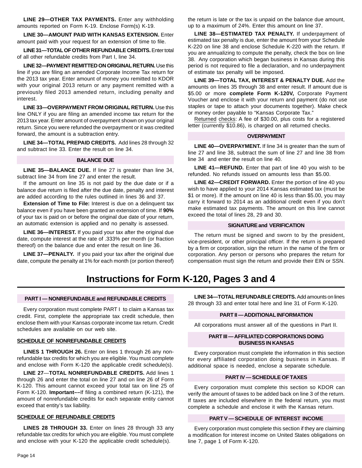**LINE 29—OTHER TAX PAYMENTS.** Enter any withholding amounts reported on Form K-19. Enclose Form(s) K-19.

**LINE 30—AMOUNT PAID WITH KANSAS EXTENSION.** Enter amount paid with your request for an extension of time to file.

**LINE 31—TOTAL OF OTHER REFUNDABLE CREDITS.** Enter total of all other refundable credits from Part I, line 34.

**LINE 32—PAYMENT REMITTED ON ORIGINAL RETURN.** Use this line if you are filing an amended Corporate Income Tax return for the 2013 tax year. Enter amount of money you remitted to KDOR with your original 2013 return or any payment remitted with a previously filed 2013 amended return, including penalty and interest.

**LINE 33—OVERPAYMENT FROM ORIGINAL RETURN.** Use this line ONLY if you are filing an amended income tax return for the 2013 tax year. Enter amount of overpayment shown on your original return. Since you were refunded the overpayment or it was credited forward, the amount is a subtraction entry.

**LINE 34—TOTAL PREPAID CREDITS.** Add lines 28 through 32 and subtract line 33. Enter the result on line 34.

### **BALANCE DUE**

**LINE 35—BALANCE DUE.** If line 27 is greater than line 34, subtract line 34 from line 27 and enter the result.

If the amount on line 35 is not paid by the due date or if a balance due return is filed after the due date, penalty and interest are added according to the rules outlined in lines 36 and 37.

**Extension of Time to File:** Interest is due on a delinquent tax balance even if you have been granted an extension of time. If **90%**  of your tax is paid on or before the original due date of your return, an automatic extension is applied and no penalty is assessed.

**LINE 36—INTEREST.** If you paid your tax after the original due date, compute interest at the rate of .333% per month (or fraction thereof) on the balance due and enter the result on line 36.

**LINE 37—PENALTY.** If you paid your tax after the original due date, compute the penalty at 1% for each month (or portion thereof)

**Instructions for Form K-120, Pages 3 and 4** 

#### **PART I — NONREFUNDABLE and REFUNDABLE CREDITS**

Every corporation must complete PART I to claim a Kansas tax credit. First, complete the appropriate tax credit schedule, then enclose them with your Kansas corporate income tax return. Credit schedules are available on our web site.

#### **SCHEDULE OF NONREFUNDABLE CREDITS**

**LINES 1 THROUGH 26.** Enter on lines 1 through 26 any nonrefundable tax credits for which you are eligible. You must complete and enclose with Form K-120 the applicable credit schedule(s).

**LINE 27**—**TOTAL NONREFUNDABLE CREDITS.** Add lines 1 through 26 and enter the total on line 27 and on line 26 of Form K-120. This amount cannot exceed your total tax on line 25 of Form K-120. **Important––**If filing a combined return (K-121), the amount of nonrefundable credits for each separate entity cannot exceed that entity's tax liability.

#### **SCHEDULE OF REFUNDABLE CREDITS**

**LINES 28 THROUGH 33.** Enter on lines 28 through 33 any refundable tax credits for which you are eligible. You must complete and enclose with your K-120 the applicable credit schedule(s).

the return is late or the tax is unpaid on the balance due amount, up to a maximum of 24%. Enter this amount on line 37.

**LINE 38—ESTIMATED TAX PENALTY.** If underpayment of estimated tax penalty is due, enter the amount from your Schedule K-220 on line 38 and enclose Schedule K-220 with the return. If you are annualizing to compute the penalty, check the box on line 38. Any corporation which began business in Kansas during this period is not required to file a declaration, and no underpayment of estimate tax penalty will be imposed.

**LINE 39—TOTAL TAX, INTEREST & PENALTY DUE.** Add the amounts on lines 35 through 38 and enter result. If amount due is \$5.00 or more **complete Form K-120V,** Corporate Payment Voucher and enclose it with your return and payment (do not use staples or tape to attach your documents together). Make check or money order payable to "Kansas Corporate Tax."

Returned checks: A fee of \$30.00, plus costs for a registered letter (currently \$10.86), is charged on all returned checks.

### **OVERPAYMENT**

**LINE 40—OVERPAYMENT.** If line 34 is greater than the sum of line 27 and line 38, subtract the sum of line 27 and line 38 from line 34 and enter the result on line 40.

**LINE 41—REFUND.** Enter that part of line 40 you wish to be refunded. No refunds issued on amounts less than \$5.00.

LINE 42-CREDIT FORWARD. Enter the portion of line 40 you wish to have applied to your 2014 Kansas estimated tax (must be \$1 or more). If the amount on line 40 is less than \$5.00, you may carry it forward to 2014 as an additional credit even if you don't make estimated tax payments. The amount on this line cannot exceed the total of lines 28, 29 and 30.

#### **SIGNATURE and VERIFICATION**

The return must be signed and sworn to by the president, vice-president, or other principal officer. If the return is prepared by a firm or corporation, sign the return in the name of the firm or corporation. Any person or persons who prepares the return for compensation must sign the return and provide their EIN or SSN.

**LINE 34—TOTAL REFUNDABLE CREDITS.** Add amounts on lines 28 through 33 and enter total here and line 31 of Form K-120.

#### **PART II — ADDITIONAL INFORMATION**

All corporations must answer all of the questions in Part II.

#### **PART III — AFFILIATED CORPORATIONS DOING BUSINESS IN KANSAS**

Every corporation must complete the information in this section for every affiliated corporation doing business in Kansas. If additional space is needed, enclose a separate schedule.

#### **PART IV — SCHEDULE OF TAXES**

Every corporation must complete this section so KDOR can verify the amount of taxes to be added back on line 3 of the return. If taxes are included elsewhere in the federal return, you must complete a schedule and enclose it with the Kansas return.

#### **PART V — SCHEDULE OF INTEREST INCOME**

Every corporation must complete this section if they are claiming a modification for interest income on United States obligations on line 7, page 1 of Form K-120.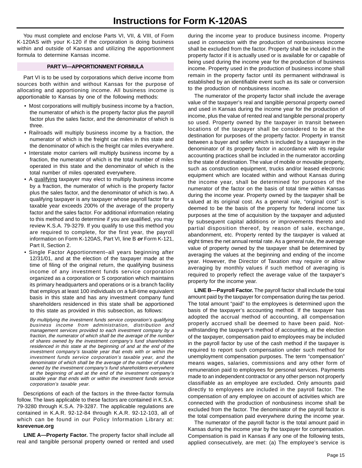You must complete and enclose Parts VI, VII, & VIII, of Form K-120AS with your K-120 if the corporation is doing business within and outside of Kansas and utilizing the apportionment formula to determine Kansas income.

#### **PART VI—APPORTIONMENT FORMULA**

Part VI is to be used by corporations which derive income from sources both within and without Kansas for the purpose of allocating and apportioning income. All business income is apportionable to Kansas by one of the following methods:

- Most corporations will multiply business income by a fraction, the numerator of which is the property factor plus the payroll factor plus the sales factor, and the denominator of which is three.
- Railroads will multiply business income by a fraction, the numerator of which is the freight car miles in this state and the denominator of which is the freight car miles everywhere.
- Interstate motor carriers will multiply business income by a fraction, the numerator of which is the total number of miles operated in this state and the denominator of which is the total number of miles operated everywhere.
- A qualifying taxpayer may elect to multiply business income by a fraction, the numerator of which is the property factor plus the sales factor, and the denominator of which is two. A qualifying taxpayer is any taxpayer whose payroll factor for a taxable year exceeds 200% of the average of the property factor and the sales factor. For additional information relating to this method and to determine if you are qualified, you may review K.S.A. 79-3279. If you qualify to use this method you are required to complete, for the first year, the payroll information on Form K-120AS, Part VI, line B **or** Form K-121, Part II, Section 2.
- Single Factor Apportionment–all years beginning after 12/31/01, and at the election of the taxpayer made at the time of filing of the original return, the qualifying business income of any investment funds service corporation organized as a corporation or S corporation which maintains its primary headquarters and operations or is a branch facility that employs at least 100 individuals on a full-time equivalent basis in this state and has any investment company fund shareholders residenced in this state shall be apportioned to this state as provided in this subsection, as follows:

By multiplying the investment funds service corporation's qualifying business income from administration, distribution and management services provided to each investment company by a fraction, the numerator of which shall be the average of the number of shares owned by the investment company's fund shareholders residenced in this state at the beginning of and at the end of the investment company's taxable year that ends with or within the investment funds service corporation's taxable year, and the denominator of which shall be the average of the number of shares owned by the investment company's fund shareholders everywhere at the beginning of and at the end of the investment company's taxable year that ends with or within the investment funds service corporation's taxable year.

Descriptions of each of the factors in the three-factor formula follow. The laws applicable to these factors are contained in K.S.A. 79-3280 through K.S.A. 79-3287. The applicable regulations are contained in K.A.R. 92-12-84 through K.A.R. 92-12-103, all of which can be found in our Policy Information Library at: **ksrevenue.org**

**LINE A—Property Factor.** The property factor shall include all real and tangible personal property owned or rented and used

during the income year to produce business income. Property used in connection with the production of nonbusiness income shall be excluded from the factor. Property shall be included in the property factor if it is actually used or is available for or capable of being used during the income year for the production of business income. Property used in the production of business income shall remain in the property factor until its permanent withdrawal is established by an identifiable event such as its sale or conversion to the production of nonbusiness income.

The numerator of the property factor shall include the average value of the taxpayer's real and tangible personal property owned and used in Kansas during the income year for the production of income, plus the value of rented real and tangible personal property so used. Property owned by the taxpayer in transit between locations of the taxpayer shall be considered to be at the destination for purposes of the property factor. Property in transit between a buyer and seller which is included by a taxpayer in the denominator of its property factor in accordance with its regular accounting practices shall be included in the numerator according to the state of destination. The value of mobile or movable property, such as construction equipment, trucks and/or leased electronic equipment which are located within and without Kansas during the income year, shall be determined for purposes of the numerator of the factor on the basis of total time within Kansas during the income year. Property owned by the taxpayer shall be valued at its original cost. As a general rule, "original cost" is deemed to be the basis of the property for federal income tax purposes at the time of acquisition by the taxpayer and adjusted by subsequent capital additions or improvements thereto and partial disposition thereof, by reason of sale, exchange, abandonment, etc. Property rented by the taxpayer is valued at eight times the net annual rental rate. As a general rule, the average value of property owned by the taxpayer shall be determined by averaging the values at the beginning and ending of the income year. However, the Director of Taxation may require or allow averaging by monthly values if such method of averaging is required to properly reflect the average value of the taxpayer's property for the income year.

**LINE B—Payroll Factor.** The payroll factor shall include the total amount paid by the taxpayer for compensation during the tax period. The total amount "paid" to the employees is determined upon the basis of the taxpayer's accounting method. If the taxpayer has adopted the accrual method of accounting, all compensation properly accrued shall be deemed to have been paid. Notwithstanding the taxpayer's method of accounting, at the election of the taxpayer, compensation paid to employees may be included in the payroll factor by use of the cash method if the taxpayer is required to report such compensation under such method for unemployment compensation purposes. The term "compensation" means wages, salaries, commissions and any other form of remuneration paid to employees for personal services. Payments made to an independent contractor or any other person not properly classifiable as an employee are excluded. Only amounts paid directly to employees are included in the payroll factor. The compensation of any employee on account of activities which are connected with the production of nonbusiness income shall be excluded from the factor. The denominator of the payroll factor is the total compensation paid everywhere during the income year.

The numerator of the payroll factor is the total amount paid in Kansas during the income year by the taxpayer for compensation. Compensation is paid in Kansas if any one of the following tests, applied consecutively, are met: (a) The employee's service is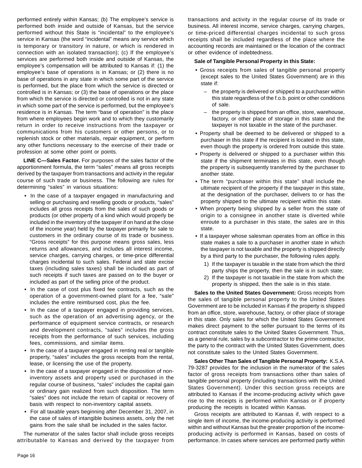performed entirely within Kansas; (b) The employee's service is performed both inside and outside of Kansas, but the service performed without this State is "incidental" to the employee's service in Kansas (the word "incidental" means any service which is temporary or transitory in nature, or which is rendered in connection with an isolated transaction); (c) If the employee's services are performed both inside and outside of Kansas, the employee's compensation will be attributed to Kansas if: (1) the employee's base of operations is in Kansas; or (2) there is no base of operations in any state in which some part of the service is performed, but the place from which the service is directed or controlled is in Kansas; or (3) the base of operations or the place from which the service is directed or controlled is not in any state in which some part of the service is performed, but the employee's residence is in Kansas. The term "base of operation" is the place from where employees begin work and to which they customarily return in order to receive instructions from the taxpayer or communications from his customers or other persons, or to replenish stock or other materials, repair equipment, or perform any other functions necessary to the exercise of their trade or profession at some other point or points.

**LINE C—Sales Factor.** For purposes of the sales factor of the apportionment formula, the term "sales" means all gross receipts derived by the taxpayer from transactions and activity in the regular course of such trade or business. The following are rules for determining "sales" in various situations:

- **•**  In the case of a taxpayer engaged in manufacturing and selling or purchasing and reselling goods or products, "sales" includes all gross receipts from the sales of such goods or products (or other property of a kind which would properly be included in the inventory of the taxpayer if on hand at the close of the income year) held by the taxpayer primarily for sale to customers in the ordinary course of its trade or business. "Gross receipts" for this purpose means gross sales, less returns and allowances, and includes all interest income, service charges, carrying charges, or time-price differential charges incidental to such sales. Federal and state excise taxes (including sales taxes) shall be included as part of such receipts if such taxes are passed on to the buyer or included as part of the selling price of the product.
- **•**  In the case of cost plus fixed fee contracts, such as the operation of a government-owned plant for a fee, "sale" includes the entire reimbursed cost, plus the fee.
- **•**  In the case of a taxpayer engaged in providing services, such as the operation of an advertising agency, or the performance of equipment service contracts, or research and development contracts, "sales" includes the gross receipts from the performance of such services, including fees, commissions, and similar items.
- **•**  In the case of a taxpayer engaged in renting real or tangible property, "sales" includes the gross receipts from the rental, lease, or licensing the use of the property.
- **•**  In the case of a taxpayer engaged in the disposition of noninventory assets and property used or purchased in the regular course of business, "sales" includes the capital gain or ordinary gain realized from such disposition. The term "sales" does not include the return of capital or recovery of basis with respect to non-inventory capital assets.
- **•** For all taxable years beginning after December 31, 2007, in the case of sales of intangible business assets, only the net gains from the sale shall be included in the sales factor.

The numerator of the sales factor shall include gross receipts attributable to Kansas and derived by the taxpayer from transactions and activity in the regular course of its trade or business. All interest income, service charges, carrying charges, or time-priced differential charges incidental to such gross receipts shall be included regardless of the place where the accounting records are maintained or the location of the contract or other evidence of indebtedness.

#### **Sale of Tangible Personal Property in this State:**

- Gross receipts from sales of tangible personal property **•**  (except sales to the United States Government) are in this state if:
	- the property is delivered or shipped to a purchaser within this state regardless of the f.o.b. point or other conditions of sale.
	- the property is shipped from an office, store, warehouse, factory, or other place of storage in this state and the taxpayer is not taxable in the state of the purchaser.
- Property shall be deemed to be delivered or shipped to a purchaser in this state if the recipient is located in this state, even though the property is ordered from outside this state.
- Property is delivered or shipped to a purchaser within this state if the shipment terminates in this state, even though the property is subsequently transferred by the purchaser to another state.
- The term "purchaser within this state" shall include the **•**  ultimate recipient of the property if the taxpayer in this state, at the designation of the purchaser, delivers to or has the property shipped to the ultimate recipient within this state.
- When property being shipped by a seller from the state of origin to a consignee in another state is diverted while enroute to a purchaser in this state, the sales are in this state.
- If a taxpayer whose salesman operates from an office in this state makes a sale to a purchaser in another state in which the taxpayer is not taxable and the property is shipped directly by a third party to the purchaser, the following rules apply.
	- 1) If the taxpayer is taxable in the state from which the third party ships the property, then the sale is in such state;
	- 2) If the taxpayer is not taxable in the state from which the property is shipped, then the sale is in this state.

**Sales to the United States Government:** Gross receipts from the sales of tangible personal property to the United States Government are to be included in Kansas if the property is shipped from an office, store, warehouse, factory, or other place of storage in this state. Only sales for which the United States Government makes direct payment to the seller pursuant to the terms of its contract constitute sales to the United States Government. Thus, as a general rule, sales by a subcontractor to the prime contractor, the party to the contract with the United States Government, does not constitute sales to the United States Government.

**Sales Other Than Sales of Tangible Personal Property:** K.S.A. 79-3287 provides for the inclusion in the numerator of the sales factor of gross receipts from transactions other than sales of tangible personal property (including transactions with the United States Government). Under this section gross receipts are attributed to Kansas if the income-producing activity which gave rise to the receipts is performed within Kansas or if property producing the receipts is located within Kansas.

Gross receipts are attributed to Kansas if, with respect to a single item of income, the income-producing activity is performed within and without Kansas but the greater proportion of the incomeproducing activity is performed in Kansas, based on costs of performance. In cases where services are performed partly within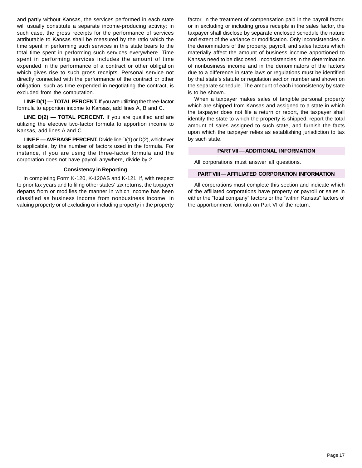and partly without Kansas, the services performed in each state will usually constitute a separate income-producing activity; in such case, the gross receipts for the performance of services attributable to Kansas shall be measured by the ratio which the time spent in performing such services in this state bears to the total time spent in performing such services everywhere. Time spent in performing services includes the amount of time expended in the performance of a contract or other obligation which gives rise to such gross receipts. Personal service not directly connected with the performance of the contract or other obligation, such as time expended in negotiating the contract, is excluded from the computation.

**LINE D(1) — TOTAL PERCENT.** If you are utilizing the three-factor formula to apportion income to Kansas, add lines A, B and C.

**LINE D(2) — TOTAL PERCENT.** If you are qualified and are utilizing the elective two-factor formula to apportion income to Kansas, add lines A and C.

**LINE E — AVERAGE PERCENT.** Divide line D(1) or D(2), whichever is applicable, by the number of factors used in the formula. For instance, if you are using the three-factor formula and the corporation does not have payroll anywhere, divide by 2.

#### **Consistency in Reporting**

In completing Form K-120, K-120AS and K-121, if, with respect to prior tax years and to filing other states' tax returns, the taxpayer departs from or modifies the manner in which income has been classified as business income from nonbusiness income, in valuing property or of excluding or including property in the property factor, in the treatment of compensation paid in the payroll factor, or in excluding or including gross receipts in the sales factor, the taxpayer shall disclose by separate enclosed schedule the nature and extent of the variance or modification. Only inconsistencies in the denominators of the property, payroll, and sales factors which materially affect the amount of business income apportioned to Kansas need to be disclosed. Inconsistencies in the determination of nonbusiness income and in the denominators of the factors due to a difference in state laws or regulations must be identified by that state's statute or regulation section number and shown on the separate schedule. The amount of each inconsistency by state is to be shown.

When a taxpayer makes sales of tangible personal property which are shipped from Kansas and assigned to a state in which the taxpayer does not file a return or report, the taxpayer shall identify the state to which the property is shipped, report the total amount of sales assigned to such state, and furnish the facts upon which the taxpayer relies as establishing jurisdiction to tax by such state.

### **PART VII — ADDITIONAL INFORMATION**

All corporations must answer all questions.

#### **PART VIII — AFFILIATED CORPORATION INFORMATION**

All corporations must complete this section and indicate which of the affiliated corporations have property or payroll or sales in either the "total company" factors or the "within Kansas" factors of the apportionment formula on Part VI of the return.